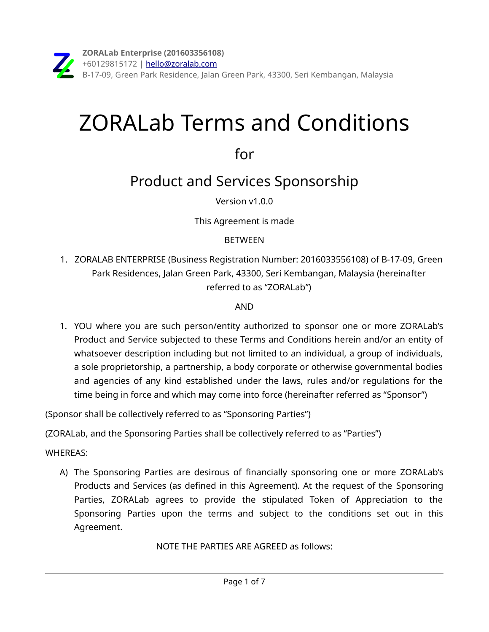# ZORALab Terms and Conditions

for

Product and Services Sponsorship

Version v1.0.0

This Agreement is made

## **BETWEEN**

1. ZORALAB ENTERPRISE (Business Registration Number: 2016033556108) of B-17-09, Green Park Residences, Jalan Green Park, 43300, Seri Kembangan, Malaysia (hereinafter referred to as "ZORALab")

## AND

1. YOU where you are such person/entity authorized to sponsor one or more ZORALab's Product and Service subjected to these Terms and Conditions herein and/or an entity of whatsoever description including but not limited to an individual, a group of individuals, a sole proprietorship, a partnership, a body corporate or otherwise governmental bodies and agencies of any kind established under the laws, rules and/or regulations for the time being in force and which may come into force (hereinafter referred as "Sponsor")

(Sponsor shall be collectively referred to as "Sponsoring Parties")

(ZORALab, and the Sponsoring Parties shall be collectively referred to as "Parties")

## WHEREAS:

A) The Sponsoring Parties are desirous of financially sponsoring one or more ZORALab's Products and Services (as defined in this Agreement). At the request of the Sponsoring Parties, ZORALab agrees to provide the stipulated Token of Appreciation to the Sponsoring Parties upon the terms and subject to the conditions set out in this Agreement.

NOTE THE PARTIES ARE AGREED as follows: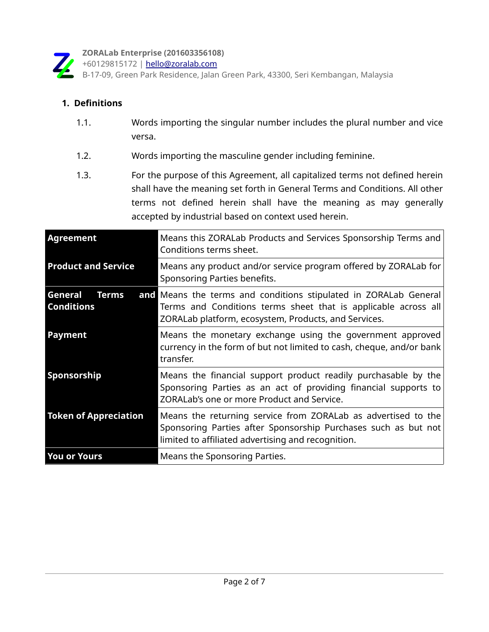

**ZORALab Enterprise (201603356108)**

+60129815172 | [hello@zoralab.com](mailto:hello@zoralab.com)

B-17-09, Green Park Residence, Jalan Green Park, 43300, Seri Kembangan, Malaysia

## **1. Definitions**

- 1.1. Words importing the singular number includes the plural number and vice versa.
- 1.2. Words importing the masculine gender including feminine.
- 1.3. For the purpose of this Agreement, all capitalized terms not defined herein shall have the meaning set forth in General Terms and Conditions. All other terms not defined herein shall have the meaning as may generally accepted by industrial based on context used herein.

| Agreement                                    | Means this ZORALab Products and Services Sponsorship Terms and<br>Conditions terms sheet.                                                                                                  |
|----------------------------------------------|--------------------------------------------------------------------------------------------------------------------------------------------------------------------------------------------|
| <b>Product and Service</b>                   | Means any product and/or service program offered by ZORALab for<br>Sponsoring Parties benefits.                                                                                            |
| General<br><b>Terms</b><br><b>Conditions</b> | and Means the terms and conditions stipulated in ZORALab General<br>Terms and Conditions terms sheet that is applicable across all<br>ZORALab platform, ecosystem, Products, and Services. |
| Payment                                      | Means the monetary exchange using the government approved<br>currency in the form of but not limited to cash, cheque, and/or bank<br>transfer.                                             |
| Sponsorship                                  | Means the financial support product readily purchasable by the<br>Sponsoring Parties as an act of providing financial supports to<br>ZORALab's one or more Product and Service.            |
| <b>Token of Appreciation</b>                 | Means the returning service from ZORALab as advertised to the<br>Sponsoring Parties after Sponsorship Purchases such as but not<br>limited to affiliated advertising and recognition.      |
| <b>You or Yours</b>                          | Means the Sponsoring Parties.                                                                                                                                                              |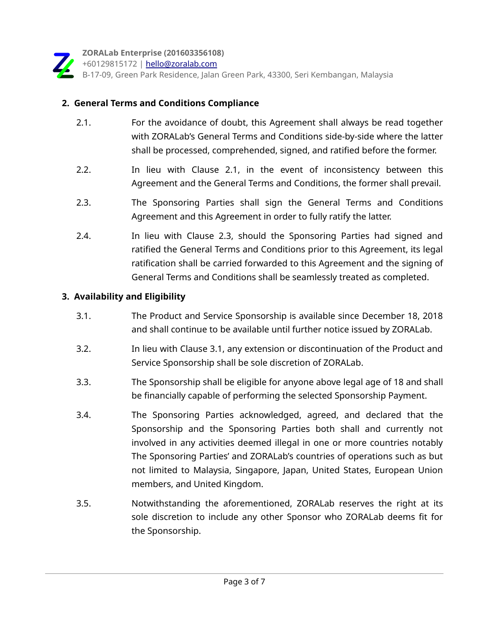

## **2. General Terms and Conditions Compliance**

- 2.1. For the avoidance of doubt, this Agreement shall always be read together with ZORALab's General Terms and Conditions side-by-side where the latter shall be processed, comprehended, signed, and ratified before the former.
- 2.2. In lieu with Clause 2.1, in the event of inconsistency between this Agreement and the General Terms and Conditions, the former shall prevail.
- 2.3. The Sponsoring Parties shall sign the General Terms and Conditions Agreement and this Agreement in order to fully ratify the latter.
- 2.4. In lieu with Clause 2.3, should the Sponsoring Parties had signed and ratified the General Terms and Conditions prior to this Agreement, its legal ratification shall be carried forwarded to this Agreement and the signing of General Terms and Conditions shall be seamlessly treated as completed.

#### **3. Availability and Eligibility**

- 3.1. The Product and Service Sponsorship is available since December 18, 2018 and shall continue to be available until further notice issued by ZORALab.
- 3.2. In lieu with Clause 3.1, any extension or discontinuation of the Product and Service Sponsorship shall be sole discretion of ZORALab.
- 3.3. The Sponsorship shall be eligible for anyone above legal age of 18 and shall be financially capable of performing the selected Sponsorship Payment.
- 3.4. The Sponsoring Parties acknowledged, agreed, and declared that the Sponsorship and the Sponsoring Parties both shall and currently not involved in any activities deemed illegal in one or more countries notably The Sponsoring Parties' and ZORALab's countries of operations such as but not limited to Malaysia, Singapore, Japan, United States, European Union members, and United Kingdom.
- 3.5. Notwithstanding the aforementioned, ZORALab reserves the right at its sole discretion to include any other Sponsor who ZORALab deems fit for the Sponsorship.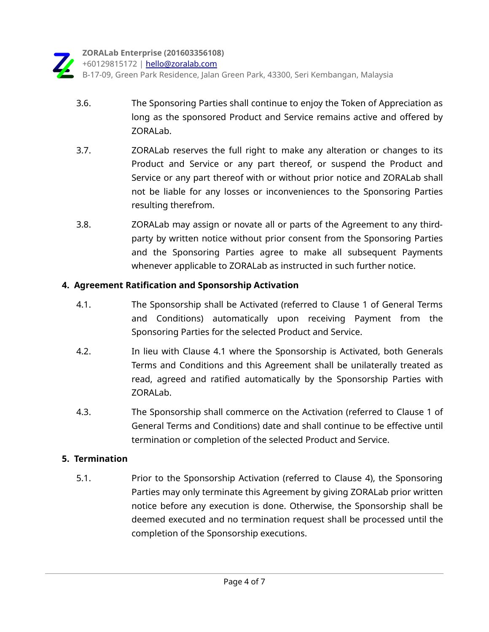- 3.6. The Sponsoring Parties shall continue to enjoy the Token of Appreciation as long as the sponsored Product and Service remains active and offered by ZORALab.
- 3.7. ZORALab reserves the full right to make any alteration or changes to its Product and Service or any part thereof, or suspend the Product and Service or any part thereof with or without prior notice and ZORALab shall not be liable for any losses or inconveniences to the Sponsoring Parties resulting therefrom.
- 3.8. ZORALab may assign or novate all or parts of the Agreement to any thirdparty by written notice without prior consent from the Sponsoring Parties and the Sponsoring Parties agree to make all subsequent Payments whenever applicable to ZORALab as instructed in such further notice.

## **4. Agreement Ratification and Sponsorship Activation**

- 4.1. The Sponsorship shall be Activated (referred to Clause 1 of General Terms and Conditions) automatically upon receiving Payment from the Sponsoring Parties for the selected Product and Service.
- 4.2. In lieu with Clause 4.1 where the Sponsorship is Activated, both Generals Terms and Conditions and this Agreement shall be unilaterally treated as read, agreed and ratified automatically by the Sponsorship Parties with ZORALab.
- 4.3. The Sponsorship shall commerce on the Activation (referred to Clause 1 of General Terms and Conditions) date and shall continue to be effective until termination or completion of the selected Product and Service.

## **5. Termination**

 5.1. Prior to the Sponsorship Activation (referred to Clause 4), the Sponsoring Parties may only terminate this Agreement by giving ZORALab prior written notice before any execution is done. Otherwise, the Sponsorship shall be deemed executed and no termination request shall be processed until the completion of the Sponsorship executions.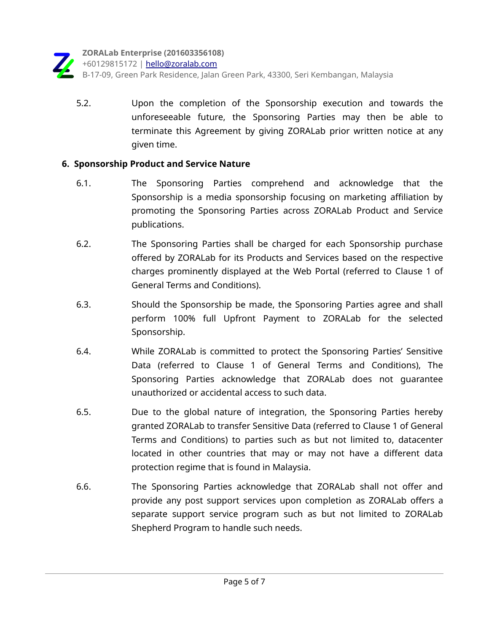

 5.2. Upon the completion of the Sponsorship execution and towards the unforeseeable future, the Sponsoring Parties may then be able to terminate this Agreement by giving ZORALab prior written notice at any given time.

#### **6. Sponsorship Product and Service Nature**

- 6.1. The Sponsoring Parties comprehend and acknowledge that the Sponsorship is a media sponsorship focusing on marketing affiliation by promoting the Sponsoring Parties across ZORALab Product and Service publications.
- 6.2. The Sponsoring Parties shall be charged for each Sponsorship purchase offered by ZORALab for its Products and Services based on the respective charges prominently displayed at the Web Portal (referred to Clause 1 of General Terms and Conditions).
- 6.3. Should the Sponsorship be made, the Sponsoring Parties agree and shall perform 100% full Upfront Payment to ZORALab for the selected Sponsorship.
- 6.4. While ZORALab is committed to protect the Sponsoring Parties' Sensitive Data (referred to Clause 1 of General Terms and Conditions), The Sponsoring Parties acknowledge that ZORALab does not guarantee unauthorized or accidental access to such data.
- 6.5. Due to the global nature of integration, the Sponsoring Parties hereby granted ZORALab to transfer Sensitive Data (referred to Clause 1 of General Terms and Conditions) to parties such as but not limited to, datacenter located in other countries that may or may not have a different data protection regime that is found in Malaysia.
- 6.6. The Sponsoring Parties acknowledge that ZORALab shall not offer and provide any post support services upon completion as ZORALab offers a separate support service program such as but not limited to ZORALab Shepherd Program to handle such needs.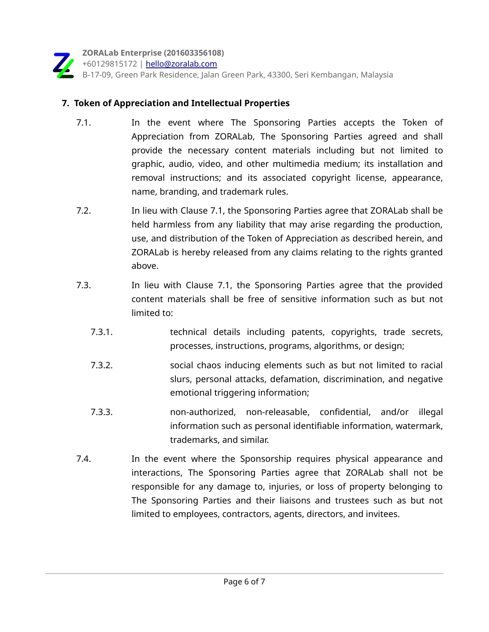

#### **7. Token of Appreciation and Intellectual Properties**

- 7.1. In the event where The Sponsoring Parties accepts the Token of Appreciation from ZORALab, The Sponsoring Parties agreed and shall provide the necessary content materials including but not limited to graphic, audio, video, and other multimedia medium; its installation and removal instructions; and its associated copyright license, appearance, name, branding, and trademark rules.
- 7.2. In lieu with Clause 7.1, the Sponsoring Parties agree that ZORALab shall be held harmless from any liability that may arise regarding the production, use, and distribution of the Token of Appreciation as described herein, and ZORALab is hereby released from any claims relating to the rights granted above.
- 7.3. In lieu with Clause 7.1, the Sponsoring Parties agree that the provided content materials shall be free of sensitive information such as but not limited to:
	- 7.3.1. technical details including patents, copyrights, trade secrets, processes, instructions, programs, algorithms, or design;
	- 7.3.2. social chaos inducing elements such as but not limited to racial slurs, personal attacks, defamation, discrimination, and negative emotional triggering information;
	- 7.3.3. non-authorized, non-releasable, confidential, and/or illegal information such as personal identifiable information, watermark, trademarks, and similar.
- 7.4. In the event where the Sponsorship requires physical appearance and interactions, The Sponsoring Parties agree that ZORALab shall not be responsible for any damage to, injuries, or loss of property belonging to The Sponsoring Parties and their liaisons and trustees such as but not limited to employees, contractors, agents, directors, and invitees.